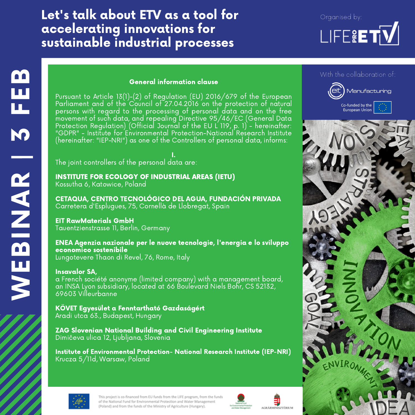## Let's talk about ETV as a tool for accelerating innovations for sustainable industrial processes

# LIFE&ET

#### General information clause

Pursuant to Article 13(1)-(2) of Regulation (EU) 2016/679 of the European Parliament and of the Council of 27.04.2016 on the protection of natural persons with regard to the processing of personal data and on the free movement of such data, and repealing Directive 95/46/EC (General Data Protection Regulation) (Official Journal of the EU L'119, p. 1) - hereinafter: "GDPR" - Institute for Environmental Protection-National Research Institute (hereinafter: "IEP-NRI") as one of the Controllers of personal data, informs:

I. The joint controllers of the personal data are:

INSTITUTE FOR ECOLOGY OF INDUSTRIAL AREAS (IETU) Kossutha 6, Katowice, Poland

CETAQUA, CENTRO TECNOLÓGICO DEL AGUA, FUNDACIÓN PRIVADA Carretera d'Esplugues, 75, Cornellà de Llobregat, Spain

EIT RawMaterials GmbH Tauentzienstrasse 11, Berlin, Germany

ENEA Agenzia nazionale per le nuove tecnologie, l'energia e lo sviluppo economico sostenibile Lungotevere Thaon di Revel, 76, Rome, Italy

Insavalor SA, a French société anonyme (limited company) with a management board,

an INSA Lyon subsidiary, located at 66 Boulevard Niels Bohr, CS 52132, 69603 Villeurbanne

KÖVET Egyesület a Fenntartható Gazdaságért Aradi utca 63., Budapest, Hungary

ZAG Slovenian National Building and Civil Engineering Institute Dimičeva ulica 12, Ljubljana, Slovenia

Institute of Environmental Protection- National Research Institute (IEP-NRI) Krucza 5/11d, Warsaw, Poland









This project is co-financed from EU funds from the LIFE program, from the fund of the National Fund for Environmental Protection and Water Management (Poland) and from the funds of the Ministry of Agriculture (Hungary).

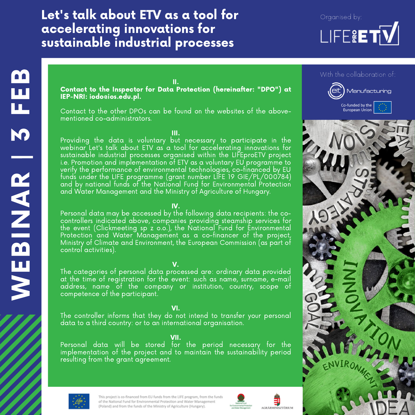## Let's talk about ETV as a tool for accelerating innovations for sustainable industrial processes



#### With the collaboration of:





II. Contact to the Inspector for Data Protection (hereinafter: "DPO") at IEP-NRI: iodo@ios.edu.pl.

Contact to the other DPOs can be found on the websites of the abovementioned co-administrators.

III.

Providing the data is voluntary but necessary to participate in the webinar Let's talk about ETV as a tool for accelerating innovations for sustainable industrial processes organised within the LIFEproETV project i.e. Promotion and implementation of ETV as a voluntary EU programme to verify the performance of environmental technologies, co-financed by EU funds under the LIFE programme (grant number LIFE 19 GIE/PL/000784) and by national funds of the National Fund for Environmental Protection and Water Management and the Ministry of Agriculture of Hungary.

#### IV.

Personal data may be accessed by the following data recipients: the cocontrollers indicated above, companies providing steamship services for the event (Clickmeeting sp z o.o.), the National Fund for Environmental Protection and Water Management as a co-financer of the project, Ministry of Climate and Environment, the European Commission (as part of control activities).

#### V.

The categories of personal data processed are: ordinary data provided at the time of registration for the event: such as name, surname, e-mail address, name of the company or institution, country, scope of competence of the participant. EN S

#### VI.

The controller informs that they do not intend to transfer your personal data to a third country: or to an international organisation.

#### VII.

Personal data will be stored for the period necessary for the implementation of the project and to maintain the sustainability period resulting from the grant agreement.



E

m

**In the Common** 

N

**R** 

|

M

F

E

**BO** 

 $\blacktriangleleft$   $\blacksquare$ 

This project is co-financed from EU funds from the LIFE program, from the funds of the National Fund for Environmental Protection and Water Management (Poland) and from the funds of the Ministry of Agriculture (Hungary).